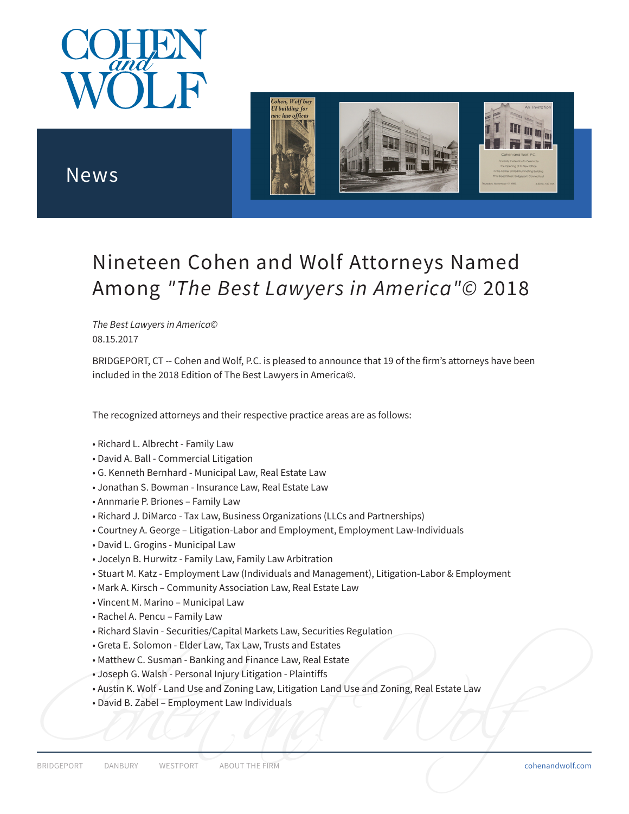



## News

# Nineteen Cohen and Wolf Attorneys Named Among *"The Best Lawyers in America"©* 2018

*The Best Lawyers in America©* 08.15.2017

BRIDGEPORT, CT -- Cohen and Wolf, P.C. is pleased to announce that 19 of the firm's attorneys have been included in the 2018 Edition of The Best Lawyers in America©.

The recognized attorneys and their respective practice areas are as follows:

- Richard L. Albrecht Family Law
- David A. Ball Commercial Litigation
- G. Kenneth Bernhard Municipal Law, Real Estate Law
- Jonathan S. Bowman Insurance Law, Real Estate Law
- Annmarie P. Briones Family Law
- Richard J. DiMarco Tax Law, Business Organizations (LLCs and Partnerships)
- Courtney A. George Litigation-Labor and Employment, Employment Law-Individuals
- David L. Grogins Municipal Law
- Jocelyn B. Hurwitz Family Law, Family Law Arbitration
- Stuart M. Katz Employment Law (Individuals and Management), Litigation-Labor & Employment
- Mark A. Kirsch Community Association Law, Real Estate Law
- Vincent M. Marino Municipal Law
- Rachel A. Pencu Family Law
- Richard Slavin Securities/Capital Markets Law, Securities Regulation
- Greta E. Solomon Elder Law, Tax Law, Trusts and Estates
- Matthew C. Susman Banking and Finance Law, Real Estate
- Joseph G. Walsh Personal Injury Litigation Plaintiffs
- Austin K. Wolf Land Use and Zoning Law, Litigation Land Use and Zoning, Real Estate Law<br>• David B. Zabel Employment Law Individuals<br>• DANBURY WESTPORT ABOUT THE FIRM cohenandwolf.com • Austin K. Wolf - Land Use and Zoning Law, Litigation Land Use and Zoning, Real Estate Law
	- David B. Zabel Employment Law Individuals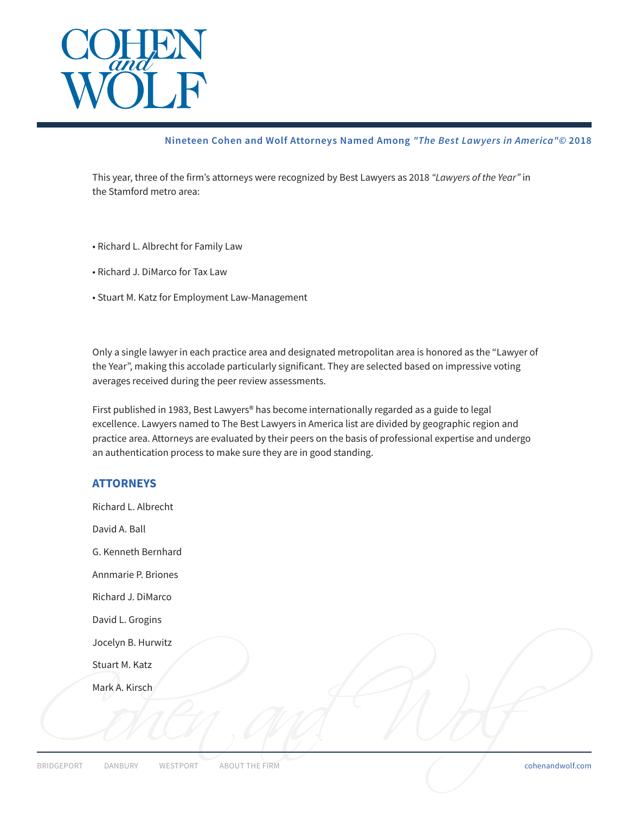

#### **Nineteen Cohen and Wolf Attorneys Named Among** *"The Best Lawyers in America"©* **2018**

This year, three of the firm's attorneys were recognized by Best Lawyers as 2018 *"Lawyers of the Year"* in the Stamford metro area:

- Richard L. Albrecht for Family Law
- Richard J. DiMarco for Tax Law
- Stuart M. Katz for Employment Law-Management

Only a single lawyer in each practice area and designated metropolitan area is honored as the "Lawyer of the Year", making this accolade particularly significant. They are selected based on impressive voting averages received during the peer review assessments.

First published in 1983, Best Lawyers® has become internationally regarded as a guide to legal excellence. Lawyers named to The Best Lawyers in America list are divided by geographic region and practice area. Attorneys are evaluated by their peers on the basis of professional expertise and undergo an authentication process to make sure they are in good standing.

#### **ATTORNEYS**

Richard L. Albrecht David A. Ball G. Kenneth Bernhard Annmarie P. Briones Richard J. DiMarco David L. Grogins Jocelyn B. Hurwitz Stuart M. Katz Mark A. Kirsch